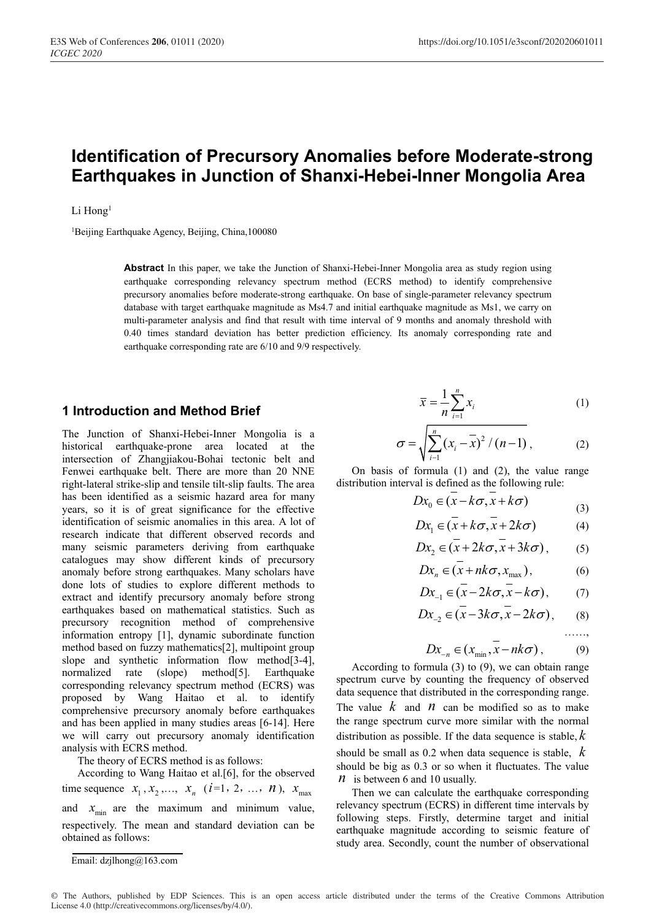# **Identification of Precursory Anomalies before Moderate-strong Earthquakes in Junction of Shanxi-Hebei-Inner Mongolia Area**

#### Li Hong<sup>1</sup>

<sup>1</sup>Beijing Earthquake Agency, Beijing, China,100080

**Abstract** In this paper, we take the Junction of Shanxi-Hebei-Inner Mongolia area as study region using earthquake corresponding relevancy spectrum method (ECRS method) to identify comprehensive precursory anomalies before moderate-strong earthquake. On base of single-parameter relevancy spectrum database with target earthquake magnitude as Ms4.7 and initial earthquake magnitude as Ms1, we carry on multi-parameter analysis and find that result with time interval of 9 months and anomaly threshold with 0.40 times standard deviation has better prediction efficiency. Its anomaly corresponding rate and earthquake corresponding rate are 6/10 and 9/9 respectively.

### **1 Introduction and Method Brief**

The Junction of Shanxi-Hebei-Inner Mongolia is a historical earthquake-prone area located at the intersection of Zhangjiakou-Bohai tectonic belt and Fenwei earthquake belt. There are more than 20 NNE right-lateral strike-slip and tensile tilt-slip faults. The area has been identified as a seismic hazard area for many years, so it is of great significance for the effective identification of seismic anomalies in this area. A lot of research indicate that different observed records and many seismic parameters deriving from earthquake catalogues may show different kinds of precursory anomaly before strong earthquakes. Many scholars have done lots of studies to explore different methods to extract and identify precursory anomaly before strong earthquakes based on mathematical statistics. Such as precursory recognition method of comprehensive information entropy [1], dynamic subordinate function method based on fuzzy mathematics[2], multipoint group slope and synthetic information flow method[3-4], normalized rate (slope) method[5]. Earthquake corresponding relevancy spectrum method (ECRS) was proposed by Wang Haitao et al. to identify comprehensive precursory anomaly before earthquakes and has been applied in many studies areas [6-14]. Here we will carry out precursory anomaly identification analysis with ECRS method.

The theory of ECRS method is as follows:

According to Wang Haitao et al.[6], for the observed time sequence  $x_1, x_2, ..., x_n$  (*i*=1, 2, ..., *n*),  $x_{max}$ and  $x_{\min}$  are the maximum and minimum value, respectively. The mean and standard deviation can be obtained as follows:

$$
\overline{x} = \frac{1}{n} \sum_{i=1}^{n} x_i
$$
 (1)

$$
\sigma = \sqrt{\sum_{i=1}^{n} (x_i - \bar{x})^2 / (n-1)},
$$
 (2)

On basis of formula (1) and (2), the value range distribution interval is defined as the following rule:

$$
Dx_0 \in (x - k\sigma, x + k\sigma) \tag{3}
$$

$$
Dx_1 \in (x + k\sigma, x + 2k\sigma) \tag{4}
$$

$$
Dx_2 \in (\overline{x} + 2k\sigma, \overline{x} + 3k\sigma), \qquad (5)
$$

$$
Dx_n \in (x + nk\sigma, x_{\max}), \tag{6}
$$

$$
Dx_{-1} \in (x - 2k\sigma, x - k\sigma), \qquad (7)
$$

$$
Dx_{-2} \in (x - 3k\sigma, x - 2k\sigma), \qquad (8)
$$

……,

$$
Dx_{-n} \in (x_{\min}, x - nk\sigma), \tag{9}
$$

According to formula (3) to (9), we can obtain range spectrum curve by counting the frequency of observed data sequence that distributed in the corresponding range. The value  $k$  and  $n$  can be modified so as to make the range spectrum curve more similar with the normal distribution as possible. If the data sequence is stable, *k* should be small as 0.2 when data sequence is stable, *k* should be big as 0.3 or so when it fluctuates. The value *n* is between 6 and 10 usually.

Then we can calculate the earthquake corresponding relevancy spectrum (ECRS) in different time intervals by following steps. Firstly, determine target and initial earthquake magnitude according to seismic feature of study area. Secondly, count the number of observational

Email: dzjlhong@163.com

<sup>©</sup> The Authors, published by EDP Sciences. This is an open access article distributed under the terms of the Creative Commons Attribution License 4.0 (http://creativecommons.org/licenses/by/4.0/).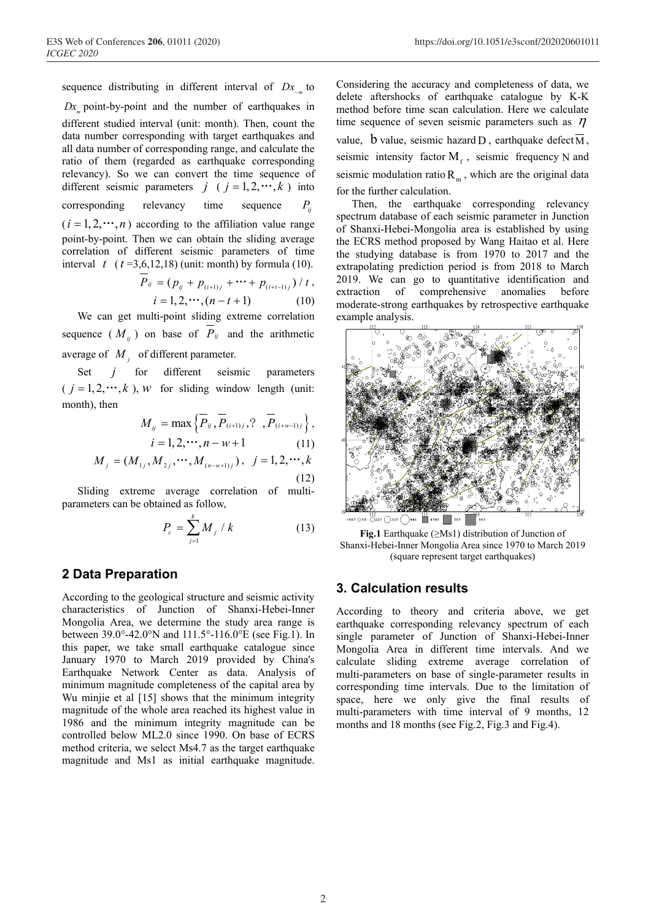sequence distributing in different interval of  $Dx_{\ldots}$  to

 $Dx$  point-by-point and the number of earthquakes in different studied interval (unit: month). Then, count the data number corresponding with target earthquakes and all data number of corresponding range, and calculate the ratio of them (regarded as earthquake corresponding relevancy). So we can convert the time sequence of different seismic parameters  $j \ (i = 1, 2, \dots, k)$  into corresponding relevancy time sequence  $P_{ii}$  $(i = 1, 2, \dots, n)$  according to the affiliation value range point-by-point. Then we can obtain the sliding average correlation of different seismic parameters of time interval  $t$  ( $t = 3,6,12,18$ ) (unit: month) by formula (10).

$$
\overline{P}_{ij} = (p_{ij} + p_{(i+1)j} + \cdots + p_{(i+t-1)j}) / t, \n i = 1, 2, \cdots, (n-t+1) \n\tag{10}
$$

We can get multi-point sliding extreme correlation sequence  $(M_{ij})$  on base of  $P_{ij}$  and the arithmetic average of  $M_i$  of different parameter.

Set *j* for different seismic parameters  $(j = 1, 2, \dots, k)$ , *w* for sliding window length (unit: month), then

$$
M_{ij} = \max\left\{P_{ij}, P_{(i+1)j}, ?, P_{(i+w-1)j}\right\},\
$$
  
\n
$$
i = 1, 2, \cdots, n - w + 1
$$
 (11)  
\n
$$
M_{j} = (M_{1j}, M_{2j}, \cdots, M_{(n-w+1)j}), \quad j = 1, 2, \cdots, k
$$

Sliding extreme average correlation of multiparameters can be obtained as follow,

$$
P_c = \sum_{j=1}^{k} M_j / k \tag{13}
$$

(12)

## **2 Data Preparation**

According to the geological structure and seismic activity characteristics of Junction of Shanxi-Hebei-Inner Mongolia Area, we determine the study area range is between 39.0°-42.0°N and 111.5°-116.0°E (see Fig.1). In this paper, we take small earthquake catalogue since January 1970 to March 2019 provided by China's Earthquake Network Center as data. Analysis of minimum magnitude completeness of the capital area by Wu minjie et al [15] shows that the minimum integrity magnitude of the whole area reached its highest value in 1986 and the minimum integrity magnitude can be controlled below ML2.0 since 1990. On base of ECRS method criteria, we select Ms4.7 as the target earthquake magnitude and Ms1 as initial earthquake magnitude.

Considering the accuracy and completeness of data, we delete aftershocks of earthquake catalogue by K-K method before time scan calculation. Here we calculate time sequence of seven seismic parameters such as  $\eta$ value, b value, seismic hazard D, earthquake defect  $\overline{M}$ , seismic intensity factor  $M_f$ , seismic frequency N and seismic modulation ratio  $R_m$ , which are the original data for the further calculation.

Then, the earthquake corresponding relevancy spectrum database of each seismic parameter in Junction of Shanxi-Hebei-Mongolia area is established by using the ECRS method proposed by Wang Haitao et al. Here the studying database is from 1970 to 2017 and the extrapolating prediction period is from 2018 to March 2019. We can go to quantitative identification and extraction of comprehensive anomalies before moderate-strong earthquakes by retrospective earthquake example analysis.



**Fig.1** Earthquake (≥Ms1) distribution of Junction of Shanxi-Hebei-Inner Mongolia Area since 1970 to March 2019 (square represent target earthquakes)

### **3. Calculation results**

According to theory and criteria above, we get earthquake corresponding relevancy spectrum of each single parameter of Junction of Shanxi-Hebei-Inner Mongolia Area in different time intervals. And we calculate sliding extreme average correlation of multi-parameters on base of single-parameter results in corresponding time intervals. Due to the limitation of space, here we only give the final results of multi-parameters with time interval of 9 months, 12 months and 18 months (see Fig.2, Fig.3 and Fig.4).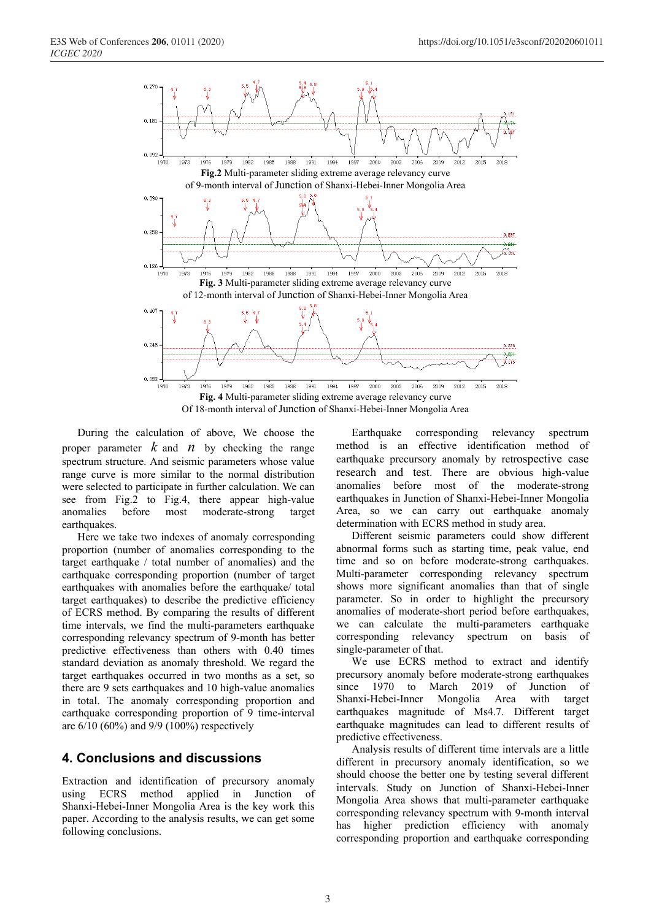

During the calculation of above, We choose the proper parameter  $k$  and  $n$  by checking the range spectrum structure. And seismic parameters whose value range curve is more similar to the normal distribution were selected to participate in further calculation. We can see from Fig.2 to Fig.4, there appear high-value anomalies before most moderate-strong target earthquakes.

Here we take two indexes of anomaly corresponding proportion (number of anomalies corresponding to the target earthquake / total number of anomalies) and the earthquake corresponding proportion (number of target earthquakes with anomalies before the earthquake/ total target earthquakes) to describe the predictive efficiency of ECRS method. By comparing the results of different time intervals, we find the multi-parameters earthquake corresponding relevancy spectrum of 9-month has better predictive effectiveness than others with 0.40 times standard deviation as anomaly threshold. We regard the target earthquakes occurred in two months as a set, so there are 9 sets earthquakes and 10 high-value anomalies in total. The anomaly corresponding proportion and earthquake corresponding proportion of 9 time-interval are 6/10 (60%) and 9/9 (100%) respectively

### **4. Conclusions and discussions**

Extraction and identification of precursory anomaly using ECRS method applied in Junction of Shanxi-Hebei-Inner Mongolia Area is the key work this paper. According to the analysis results, we can get some following conclusions.

Earthquake corresponding relevancy spectrum method is an effective identification method of earthquake precursory anomaly by retrospective case research and test. There are obvious high-value anomalies before most of the moderate-strong earthquakes in Junction of Shanxi-Hebei-Inner Mongolia Area, so we can carry out earthquake anomaly determination with ECRS method in study area.

Different seismic parameters could show different abnormal forms such as starting time, peak value, end time and so on before moderate-strong earthquakes. Multi-parameter corresponding relevancy spectrum shows more significant anomalies than that of single parameter. So in order to highlight the precursory anomalies of moderate-short period before earthquakes, we can calculate the multi-parameters earthquake corresponding relevancy spectrum on basis of single-parameter of that.

We use ECRS method to extract and identify precursory anomaly before moderate-strong earthquakes since 1970 to March 2019 of Junction of Shanxi-Hebei-Inner Mongolia Area with target earthquakes magnitude of Ms4.7. Different target earthquake magnitudes can lead to different results of predictive effectiveness.

Analysis results of different time intervals are a little different in precursory anomaly identification, so we should choose the better one by testing several different intervals. Study on Junction of Shanxi-Hebei-Inner Mongolia Area shows that multi-parameter earthquake corresponding relevancy spectrum with 9-month interval has higher prediction efficiency with anomaly corresponding proportion and earthquake corresponding